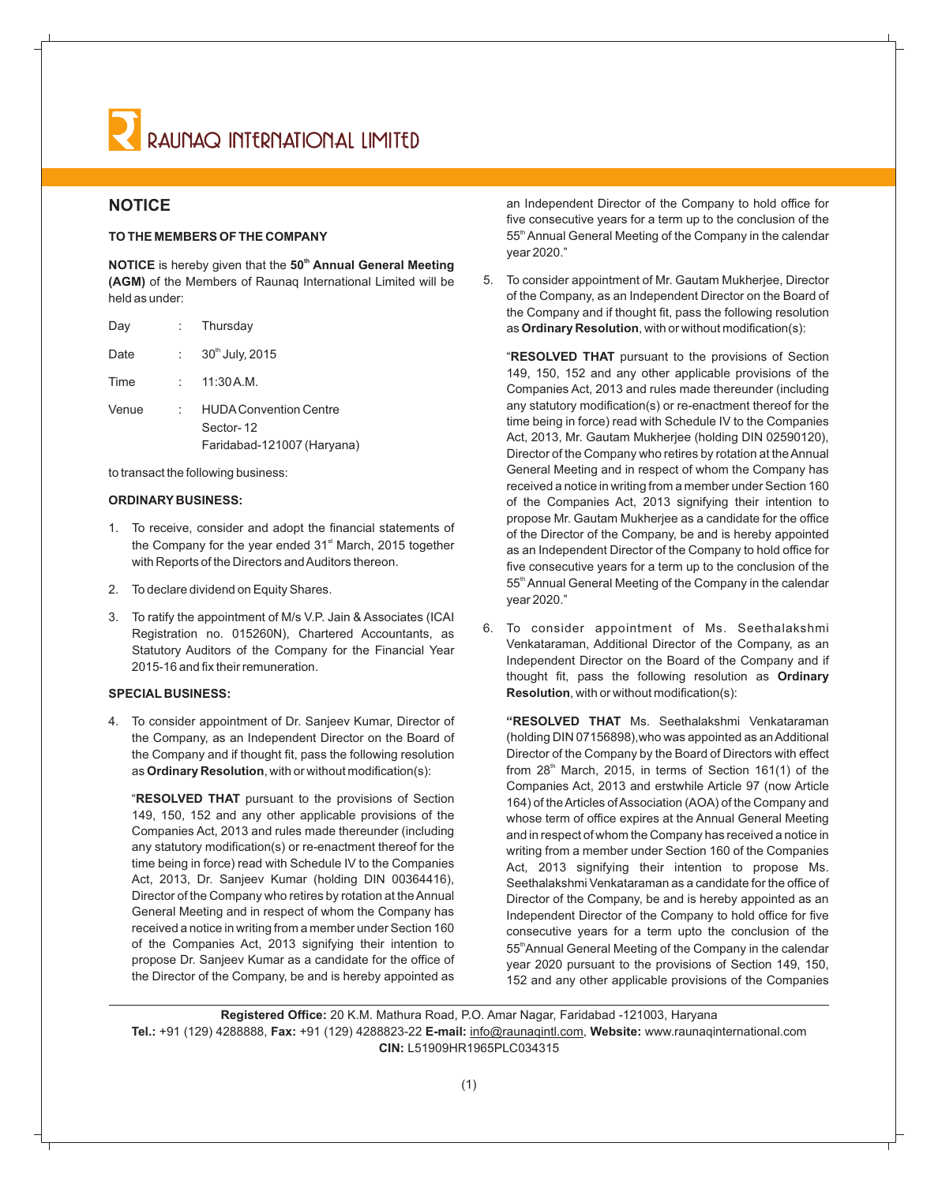## **NOTICE**

#### **TO THE MEMBERS OF THE COMPANY**

**NOTICE** is hereby given that the 50<sup>th</sup> Annual General Meeting **(AGM)** of the Members of Raunaq International Limited will be held as under:

| Day   | : Thursday                                                               |
|-------|--------------------------------------------------------------------------|
| Date  | 30th July, 2015                                                          |
| Time  | 11:30 A.M.                                                               |
| Venue | <b>HUDA Convention Centre</b><br>Sector-12<br>Faridabad-121007 (Haryana) |

to transact the following business:

#### **ORDINARY BUSINESS:**

- 1. To receive, consider and adopt the financial statements of the Company for the year ended 31<sup>st</sup> March, 2015 together with Reports of the Directors and Auditors thereon.
- 2. To declare dividend on Equity Shares.
- 3. To ratify the appointment of M/s V.P. Jain & Associates (ICAI Registration no. 015260N), Chartered Accountants, as Statutory Auditors of the Company for the Financial Year 2015-16 and fix their remuneration.

#### **SPECIAL BUSINESS:**

4. To consider appointment of Dr. Sanjeev Kumar, Director of the Company, as an Independent Director on the Board of the Company and if thought fit, pass the following resolution as **Ordinary Resolution**, with or without modification(s):

"**RESOLVED THAT** pursuant to the provisions of Section 149, 150, 152 and any other applicable provisions of the Companies Act, 2013 and rules made thereunder (including any statutory modification(s) or re-enactment thereof for the time being in force) read with Schedule IV to the Companies Act, 2013, Dr. Sanjeev Kumar (holding DIN 00364416), Director of the Company who retires by rotation at the Annual General Meeting and in respect of whom the Company has received a notice in writing from a member under Section 160 of the Companies Act, 2013 signifying their intention to propose Dr. Sanjeev Kumar as a candidate for the office of the Director of the Company, be and is hereby appointed as

an Independent Director of the Company to hold office for five consecutive years for a term up to the conclusion of the 55<sup>th</sup> Annual General Meeting of the Company in the calendar year 2020."

5. To consider appointment of Mr. Gautam Mukherjee, Director of the Company, as an Independent Director on the Board of the Company and if thought fit, pass the following resolution as **Ordinary Resolution**, with or without modification(s):

"**RESOLVED THAT** pursuant to the provisions of Section 149, 150, 152 and any other applicable provisions of the Companies Act, 2013 and rules made thereunder (including any statutory modification(s) or re-enactment thereof for the time being in force) read with Schedule IV to the Companies Act, 2013, Mr. Gautam Mukherjee (holding DIN 02590120), Director of the Company who retires by rotation at the Annual General Meeting and in respect of whom the Company has received a notice in writing from a member under Section 160 of the Companies Act, 2013 signifying their intention to propose Mr. Gautam Mukherjee as a candidate for the office of the Director of the Company, be and is hereby appointed as an Independent Director of the Company to hold office for five consecutive years for a term up to the conclusion of the 55<sup>th</sup> Annual General Meeting of the Company in the calendar year 2020."

6. To consider appointment of Ms. Seethalakshmi Venkataraman, Additional Director of the Company, as an Independent Director on the Board of the Company and if thought fit, pass the following resolution as **Ordinary Resolution**, with or without modification(s):

**"RESOLVED THAT** Ms. Seethalakshmi Venkataraman (holding DIN 07156898),who was appointed as an Additional Director of the Company by the Board of Directors with effect from  $28<sup>th</sup>$  March, 2015, in terms of Section 161(1) of the Companies Act, 2013 and erstwhile Article 97 (now Article 164) of the Articles of Association (AOA) of the Company and whose term of office expires at the Annual General Meeting and in respect of whom the Company has received a notice in writing from a member under Section 160 of the Companies Act, 2013 signifying their intention to propose Ms. Seethalakshmi Venkataraman as a candidate for the office of Director of the Company, be and is hereby appointed as an Independent Director of the Company to hold office for five consecutive years for a term upto the conclusion of the 55<sup>th</sup> Annual General Meeting of the Company in the calendar year 2020 pursuant to the provisions of Section 149, 150, 152 and any other applicable provisions of the Companies

**Registered Office:** 20 K.M. Mathura Road, P.O. Amar Nagar, Faridabad -121003, Haryana **Tel.:** +91 (129) 4288888, **Fax:** +91 (129) 4288823-22 **E-mail:** info@raunaqintl.com, **Website:** www.raunaqinternational.com **CIN:** L51909HR1965PLC034315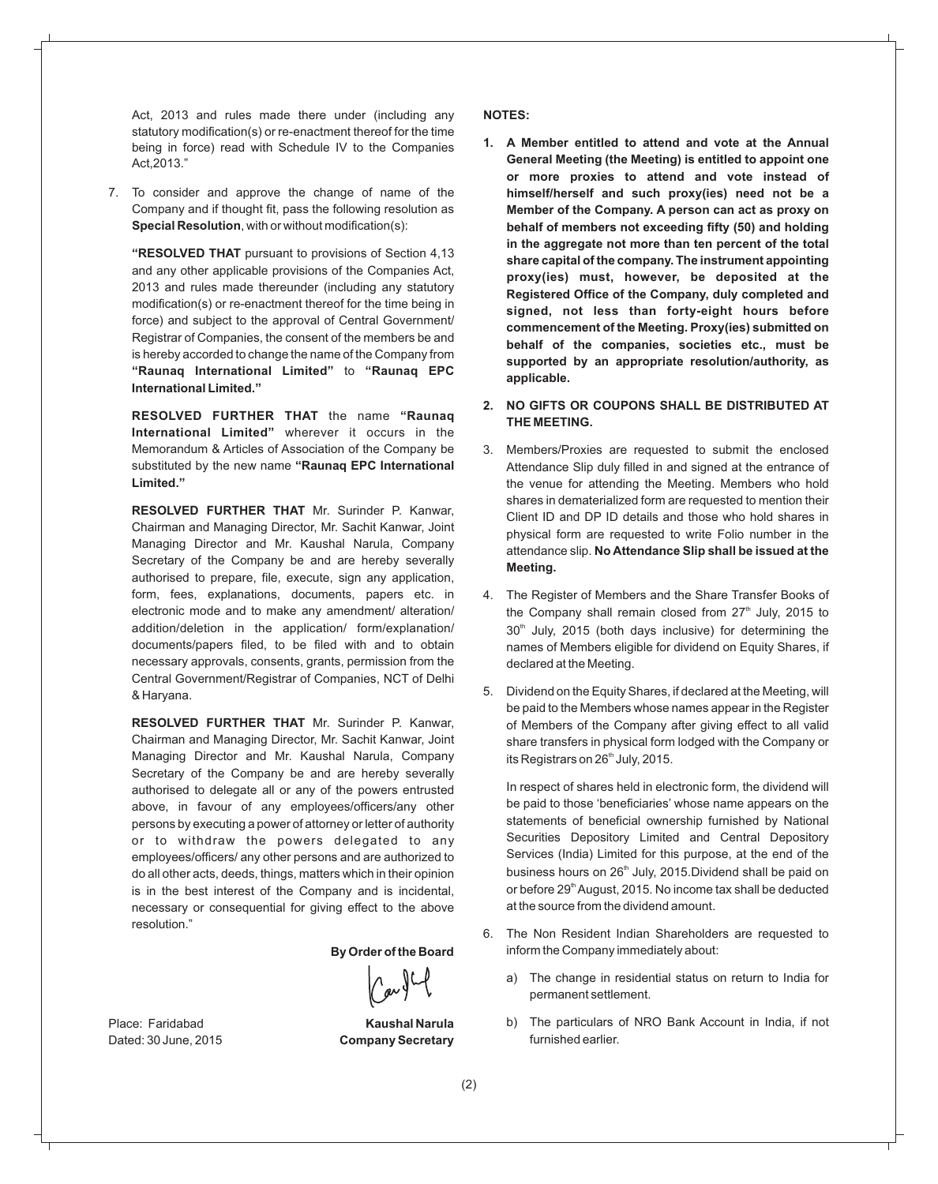Act, 2013 and rules made there under (including any statutory modification(s) or re-enactment thereof for the time being in force) read with Schedule IV to the Companies Act,2013."

7. To consider and approve the change of name of the Company and if thought fit, pass the following resolution as **Special Resolution**, with or without modification(s):

**"RESOLVED THAT** pursuant to provisions of Section 4,13 and any other applicable provisions of the Companies Act, 2013 and rules made thereunder (including any statutory modification(s) or re-enactment thereof for the time being in force) and subject to the approval of Central Government/ Registrar of Companies, the consent of the members be and is hereby accorded to change the name of the Company from **"Raunaq International Limited"** to **"Raunaq EPC International Limited."**

**RESOLVED FURTHER THAT** the name **"Raunaq International Limited"** wherever it occurs in the Memorandum & Articles of Association of the Company be substituted by the new name **"Raunaq EPC International Limited."**

**RESOLVED FURTHER THAT** Mr. Surinder P. Kanwar, Chairman and Managing Director, Mr. Sachit Kanwar, Joint Managing Director and Mr. Kaushal Narula, Company Secretary of the Company be and are hereby severally authorised to prepare, file, execute, sign any application, form, fees, explanations, documents, papers etc. in electronic mode and to make any amendment/ alteration/ addition/deletion in the application/ form/explanation/ documents/papers filed, to be filed with and to obtain necessary approvals, consents, grants, permission from the Central Government/Registrar of Companies, NCT of Delhi & Haryana.

**RESOLVED FURTHER THAT** Mr. Surinder P. Kanwar, Chairman and Managing Director, Mr. Sachit Kanwar, Joint Managing Director and Mr. Kaushal Narula, Company Secretary of the Company be and are hereby severally authorised to delegate all or any of the powers entrusted above, in favour of any employees/officers/any other persons by executing a power of attorney or letter of authority or to withdraw the powers delegated to any employees/officers/ any other persons and are authorized to do all other acts, deeds, things, matters which in their opinion is in the best interest of the Company and is incidental, necessary or consequential for giving effect to the above resolution."

**By Order of the Board**

Place: Faridabad **Kaushal Narula**

Dated: 30 June, 2015 **Company Secretary**

#### **NOTES:**

**1. A Member entitled to attend and vote at the Annual General Meeting (the Meeting) is entitled to appoint one or more proxies to attend and vote instead of himself/herself and such proxy(ies) need not be a Member of the Company. A person can act as proxy on behalf of members not exceeding fifty (50) and holding in the aggregate not more than ten percent of the total share capital of the company. The instrument appointing proxy(ies) must, however, be deposited at the Registered Office of the Company, duly completed and signed, not less than forty-eight hours before commencement of the Meeting. Proxy(ies) submitted on behalf of the companies, societies etc., must be supported by an appropriate resolution/authority, as applicable.** 

#### **2. NO GIFTS OR COUPONS SHALL BE DISTRIBUTED AT THE MEETING.**

- 3. Members/Proxies are requested to submit the enclosed Attendance Slip duly filled in and signed at the entrance of the venue for attending the Meeting. Members who hold shares in dematerialized form are requested to mention their Client ID and DP ID details and those who hold shares in physical form are requested to write Folio number in the attendance slip. **No Attendance Slip shall be issued at the Meeting.**
- 4. The Register of Members and the Share Transfer Books of the Company shall remain closed from  $27<sup>th</sup>$  July, 2015 to  $30<sup>th</sup>$  July, 2015 (both days inclusive) for determining the names of Members eligible for dividend on Equity Shares, if declared at the Meeting.
- 5. Dividend on the Equity Shares, if declared at the Meeting, will be paid to the Members whose names appear in the Register of Members of the Company after giving effect to all valid share transfers in physical form lodged with the Company or its Registrars on 26<sup>th</sup> July, 2015.

In respect of shares held in electronic form, the dividend will be paid to those 'beneficiaries' whose name appears on the statements of beneficial ownership furnished by National Securities Depository Limited and Central Depository Services (India) Limited for this purpose, at the end of the business hours on 26<sup>th</sup> July, 2015.Dividend shall be paid on or before 29<sup>th</sup> August, 2015. No income tax shall be deducted at the source from the dividend amount.

- 6. The Non Resident Indian Shareholders are requested to inform the Company immediately about:
	- a) The change in residential status on return to India for permanent settlement.
	- b) The particulars of NRO Bank Account in India, if not furnished earlier.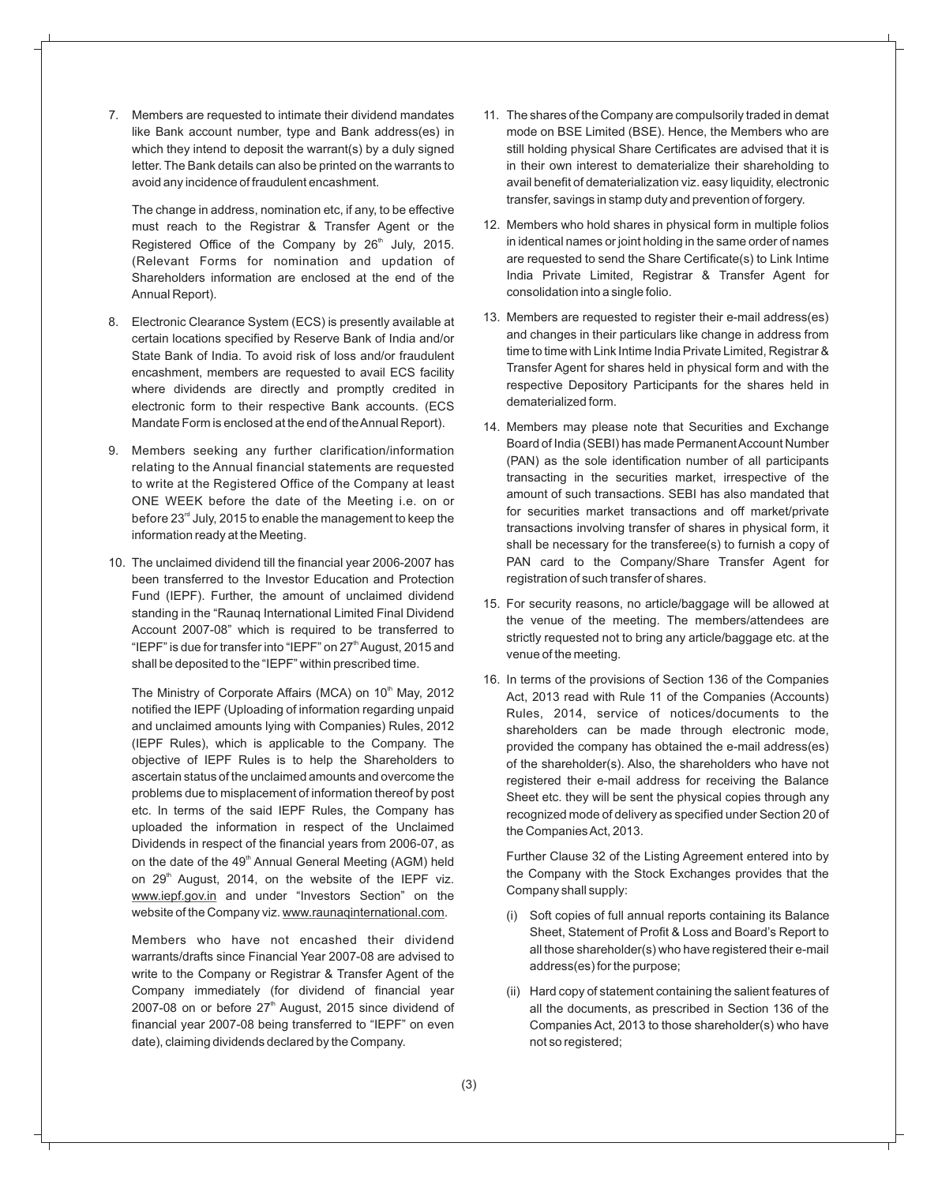7. Members are requested to intimate their dividend mandates like Bank account number, type and Bank address(es) in which they intend to deposit the warrant(s) by a duly signed letter. The Bank details can also be printed on the warrants to avoid any incidence of fraudulent encashment.

The change in address, nomination etc, if any, to be effective must reach to the Registrar & Transfer Agent or the Registered Office of the Company by  $26<sup>th</sup>$  July, 2015. (Relevant Forms for nomination and updation of Shareholders information are enclosed at the end of the Annual Report).

- 8. Electronic Clearance System (ECS) is presently available at certain locations specified by Reserve Bank of India and/or State Bank of India. To avoid risk of loss and/or fraudulent encashment, members are requested to avail ECS facility where dividends are directly and promptly credited in electronic form to their respective Bank accounts. (ECS Mandate Form is enclosed at the end of the Annual Report).
- 9. Members seeking any further clarification/information relating to the Annual financial statements are requested to write at the Registered Office of the Company at least ONE WEEK before the date of the Meeting i.e. on or before  $23<sup>rd</sup>$  July, 2015 to enable the management to keep the information ready at the Meeting.
- 10. The unclaimed dividend till the financial year 2006-2007 has been transferred to the Investor Education and Protection Fund (IEPF). Further, the amount of unclaimed dividend standing in the "Raunaq International Limited Final Dividend Account 2007-08" which is required to be transferred to "IEPF" is due for transfer into "IEPF" on 27<sup>th</sup> August, 2015 and shall be deposited to the "IEPF" within prescribed time.

The Ministry of Corporate Affairs (MCA) on 10<sup>th</sup> May, 2012 notified the IEPF (Uploading of information regarding unpaid and unclaimed amounts lying with Companies) Rules, 2012 (IEPF Rules), which is applicable to the Company. The objective of IEPF Rules is to help the Shareholders to ascertain status of the unclaimed amounts and overcome the problems due to misplacement of information thereof by post etc. In terms of the said IEPF Rules, the Company has uploaded the information in respect of the Unclaimed Dividends in respect of the financial years from 2006-07, as on the date of the  $49<sup>th</sup>$  Annual General Meeting (AGM) held on  $29<sup>th</sup>$  August, 2014, on the website of the IEPF viz. www.iepf.gov.in and under "Investors Section" on the website of the Company viz. www.raunaqinternational.com.

Members who have not encashed their dividend warrants/drafts since Financial Year 2007-08 are advised to write to the Company or Registrar & Transfer Agent of the Company immediately (for dividend of financial year 2007-08 on or before  $27<sup>th</sup>$  August, 2015 since dividend of financial year 2007-08 being transferred to "IEPF" on even date), claiming dividends declared by the Company.

- 11. The shares of the Company are compulsorily traded in demat mode on BSE Limited (BSE). Hence, the Members who are still holding physical Share Certificates are advised that it is in their own interest to dematerialize their shareholding to avail benefit of dematerialization viz. easy liquidity, electronic transfer, savings in stamp duty and prevention of forgery.
- 12. Members who hold shares in physical form in multiple folios in identical names or joint holding in the same order of names are requested to send the Share Certificate(s) to Link Intime India Private Limited, Registrar & Transfer Agent for consolidation into a single folio.
- 13. Members are requested to register their e-mail address(es) and changes in their particulars like change in address from time to time with Link Intime India Private Limited, Registrar & Transfer Agent for shares held in physical form and with the respective Depository Participants for the shares held in dematerialized form.
- 14. Members may please note that Securities and Exchange Board of India (SEBI) has made Permanent Account Number (PAN) as the sole identification number of all participants transacting in the securities market, irrespective of the amount of such transactions. SEBI has also mandated that for securities market transactions and off market/private transactions involving transfer of shares in physical form, it shall be necessary for the transferee(s) to furnish a copy of PAN card to the Company/Share Transfer Agent for registration of such transfer of shares.
- 15. For security reasons, no article/baggage will be allowed at the venue of the meeting. The members/attendees are strictly requested not to bring any article/baggage etc. at the venue of the meeting.
- 16. In terms of the provisions of Section 136 of the Companies Act, 2013 read with Rule 11 of the Companies (Accounts) Rules, 2014, service of notices/documents to the shareholders can be made through electronic mode, provided the company has obtained the e-mail address(es) of the shareholder(s). Also, the shareholders who have not registered their e-mail address for receiving the Balance Sheet etc. they will be sent the physical copies through any recognized mode of delivery as specified under Section 20 of the Companies Act, 2013.

Further Clause 32 of the Listing Agreement entered into by the Company with the Stock Exchanges provides that the Company shall supply:

- (i) Soft copies of full annual reports containing its Balance Sheet, Statement of Profit & Loss and Board's Report to all those shareholder(s) who have registered their e-mail address(es) for the purpose;
- (ii) Hard copy of statement containing the salient features of all the documents, as prescribed in Section 136 of the Companies Act, 2013 to those shareholder(s) who have not so registered;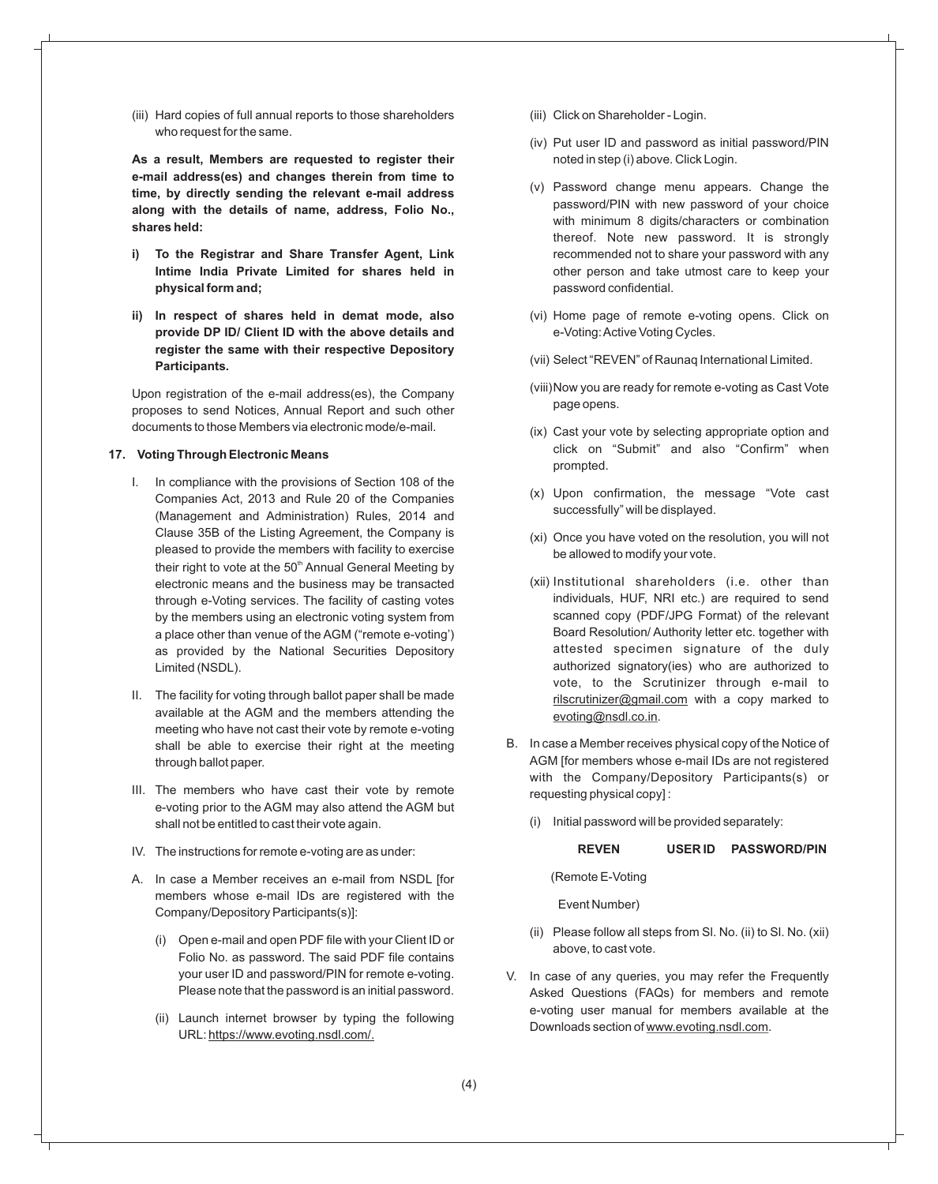(iii) Hard copies of full annual reports to those shareholders who request for the same.

**As a result, Members are requested to register their e-mail address(es) and changes therein from time to time, by directly sending the relevant e-mail address along with the details of name, address, Folio No., shares held:**

- **i) To the Registrar and Share Transfer Agent, Link Intime India Private Limited for shares held in physical form and;**
- **ii) In respect of shares held in demat mode, also provide DP ID/ Client ID with the above details and register the same with their respective Depository Participants.**

Upon registration of the e-mail address(es), the Company proposes to send Notices, Annual Report and such other documents to those Members via electronic mode/e-mail.

#### **17. Voting Through Electronic Means**

- I. In compliance with the provisions of Section 108 of the Companies Act, 2013 and Rule 20 of the Companies (Management and Administration) Rules, 2014 and Clause 35B of the Listing Agreement, the Company is pleased to provide the members with facility to exercise their right to vote at the  $50<sup>th</sup>$  Annual General Meeting by electronic means and the business may be transacted through e-Voting services. The facility of casting votes by the members using an electronic voting system from a place other than venue of the AGM ("remote e-voting') as provided by the National Securities Depository Limited (NSDL).
- II. The facility for voting through ballot paper shall be made available at the AGM and the members attending the meeting who have not cast their vote by remote e-voting shall be able to exercise their right at the meeting through ballot paper.
- III. The members who have cast their vote by remote e-voting prior to the AGM may also attend the AGM but shall not be entitled to cast their vote again.
- IV. The instructions for remote e-voting are as under:
- A. In case a Member receives an e-mail from NSDL [for members whose e-mail IDs are registered with the Company/Depository Participants(s)]:
	- (i) Open e-mail and open PDF file with your Client ID or Folio No. as password. The said PDF file contains your user ID and password/PIN for remote e-voting. Please note that the password is an initial password.
	- (ii) Launch internet browser by typing the following URL: https://www.evoting.nsdl.com/.
- (iii) Click on Shareholder Login.
- (iv) Put user ID and password as initial password/PIN noted in step (i) above. Click Login.
- (v) Password change menu appears. Change the password/PIN with new password of your choice with minimum 8 digits/characters or combination thereof. Note new password. It is strongly recommended not to share your password with any other person and take utmost care to keep your password confidential.
- (vi) Home page of remote e-voting opens. Click on e-Voting: Active Voting Cycles.
- (vii) Select "REVEN" of Raunaq International Limited.
- (viii)Now you are ready for remote e-voting as Cast Vote page opens.
- (ix) Cast your vote by selecting appropriate option and click on "Submit" and also "Confirm" when prompted.
- (x) Upon confirmation, the message "Vote cast successfully" will be displayed.
- (xi) Once you have voted on the resolution, you will not be allowed to modify your vote.
- (xii) Institutional shareholders (i.e. other than individuals, HUF, NRI etc.) are required to send scanned copy (PDF/JPG Format) of the relevant Board Resolution/ Authority letter etc. together with attested specimen signature of the duly authorized signatory(ies) who are authorized to vote, to the Scrutinizer through e-mail to rilscrutinizer@gmail.com with a copy marked to evoting@nsdl.co.in.
- B. In case a Member receives physical copy of the Notice of AGM [for members whose e-mail IDs are not registered with the Company/Depository Participants(s) or requesting physical copy] :
	- (i) Initial password will be provided separately:

#### **REVEN USER ID PASSWORD/PIN**

(Remote E-Voting

Event Number)

- (ii) Please follow all steps from Sl. No. (ii) to Sl. No. (xii) above, to cast vote.
- V. In case of any queries, you may refer the Frequently Asked Questions (FAQs) for members and remote e-voting user manual for members available at the Downloads section of www.evoting.nsdl.com.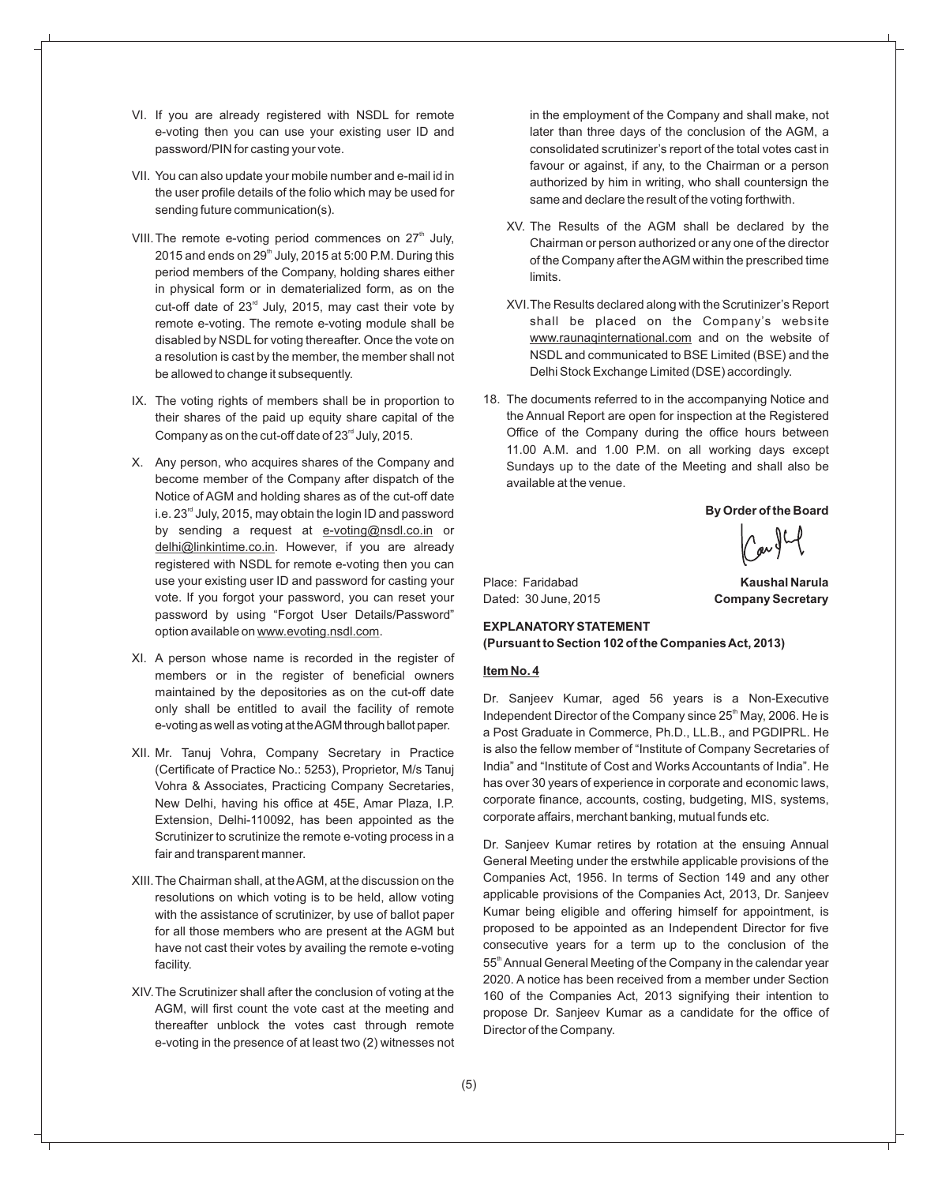- VI. If you are already registered with NSDL for remote e-voting then you can use your existing user ID and password/PIN for casting your vote.
- VII. You can also update your mobile number and e-mail id in the user profile details of the folio which may be used for sending future communication(s).
- VIII. The remote e-voting period commences on  $27<sup>th</sup>$  July, 2015 and ends on 29<sup>th</sup> July, 2015 at 5:00 P.M. During this period members of the Company, holding shares either in physical form or in dematerialized form, as on the cut-off date of 23<sup>rd</sup> July, 2015, may cast their vote by remote e-voting. The remote e-voting module shall be disabled by NSDL for voting thereafter. Once the vote on a resolution is cast by the member, the member shall not be allowed to change it subsequently.
- IX. The voting rights of members shall be in proportion to their shares of the paid up equity share capital of the Company as on the cut-off date of  $23<sup>rd</sup>$  July, 2015.
- X. Any person, who acquires shares of the Company and become member of the Company after dispatch of the Notice of AGM and holding shares as of the cut-off date i.e.  $23<sup>rd</sup>$  July, 2015, may obtain the login ID and password by sending a request at e-voting@nsdl.co.in or delhi@linkintime.co.in. However, if you are already registered with NSDL for remote e-voting then you can use your existing user ID and password for casting your vote. If you forgot your password, you can reset your password by using "Forgot User Details/Password" option available on www.evoting.nsdl.com.
- XI. A person whose name is recorded in the register of members or in the register of beneficial owners maintained by the depositories as on the cut-off date only shall be entitled to avail the facility of remote e-voting as well as voting at the AGM through ballot paper.
- XII. Mr. Tanuj Vohra, Company Secretary in Practice (Certificate of Practice No.: 5253), Proprietor, M/s Tanuj Vohra & Associates, Practicing Company Secretaries, New Delhi, having his office at 45E, Amar Plaza, I.P. Extension, Delhi-110092, has been appointed as the Scrutinizer to scrutinize the remote e-voting process in a fair and transparent manner.
- XIII.The Chairman shall, at the AGM, at the discussion on the resolutions on which voting is to be held, allow voting with the assistance of scrutinizer, by use of ballot paper for all those members who are present at the AGM but have not cast their votes by availing the remote e-voting facility.
- XIV.The Scrutinizer shall after the conclusion of voting at the AGM, will first count the vote cast at the meeting and thereafter unblock the votes cast through remote e-voting in the presence of at least two (2) witnesses not

in the employment of the Company and shall make, not later than three days of the conclusion of the AGM, a consolidated scrutinizer's report of the total votes cast in favour or against, if any, to the Chairman or a person authorized by him in writing, who shall countersign the same and declare the result of the voting forthwith.

- XV. The Results of the AGM shall be declared by the Chairman or person authorized or any one of the director of the Company after the AGM within the prescribed time limits.
- XVI.The Results declared along with the Scrutinizer's Report shall be placed on the Company's website www.raunaqinternational.com and on the website of NSDL and communicated to BSE Limited (BSE) and the Delhi Stock Exchange Limited (DSE) accordingly.
- 18. The documents referred to in the accompanying Notice and the Annual Report are open for inspection at the Registered Office of the Company during the office hours between 11.00 A.M. and 1.00 P.M. on all working days except Sundays up to the date of the Meeting and shall also be available at the venue.

**By Order of the Board**

 $\log \frac{1}{2}$ 

Place: Faridabad **Kaushal Narula** Dated: 30 June, 2015 **Company Secretary**

#### **EXPLANATORYSTATEMENT (Pursuant to Section 102 of the Companies Act, 2013)**

#### **Item No. 4**

Dr. Sanjeev Kumar, aged 56 years is a Non-Executive Independent Director of the Company since 25<sup>th</sup> May, 2006. He is a Post Graduate in Commerce, Ph.D., LL.B., and PGDIPRL. He is also the fellow member of "Institute of Company Secretaries of India" and "Institute of Cost and Works Accountants of India". He has over 30 years of experience in corporate and economic laws, corporate finance, accounts, costing, budgeting, MIS, systems, corporate affairs, merchant banking, mutual funds etc.

Dr. Sanjeev Kumar retires by rotation at the ensuing Annual General Meeting under the erstwhile applicable provisions of the Companies Act, 1956. In terms of Section 149 and any other applicable provisions of the Companies Act, 2013, Dr. Sanjeev Kumar being eligible and offering himself for appointment, is proposed to be appointed as an Independent Director for five consecutive years for a term up to the conclusion of the 55<sup>th</sup> Annual General Meeting of the Company in the calendar year 2020. A notice has been received from a member under Section 160 of the Companies Act, 2013 signifying their intention to propose Dr. Sanjeev Kumar as a candidate for the office of Director of the Company.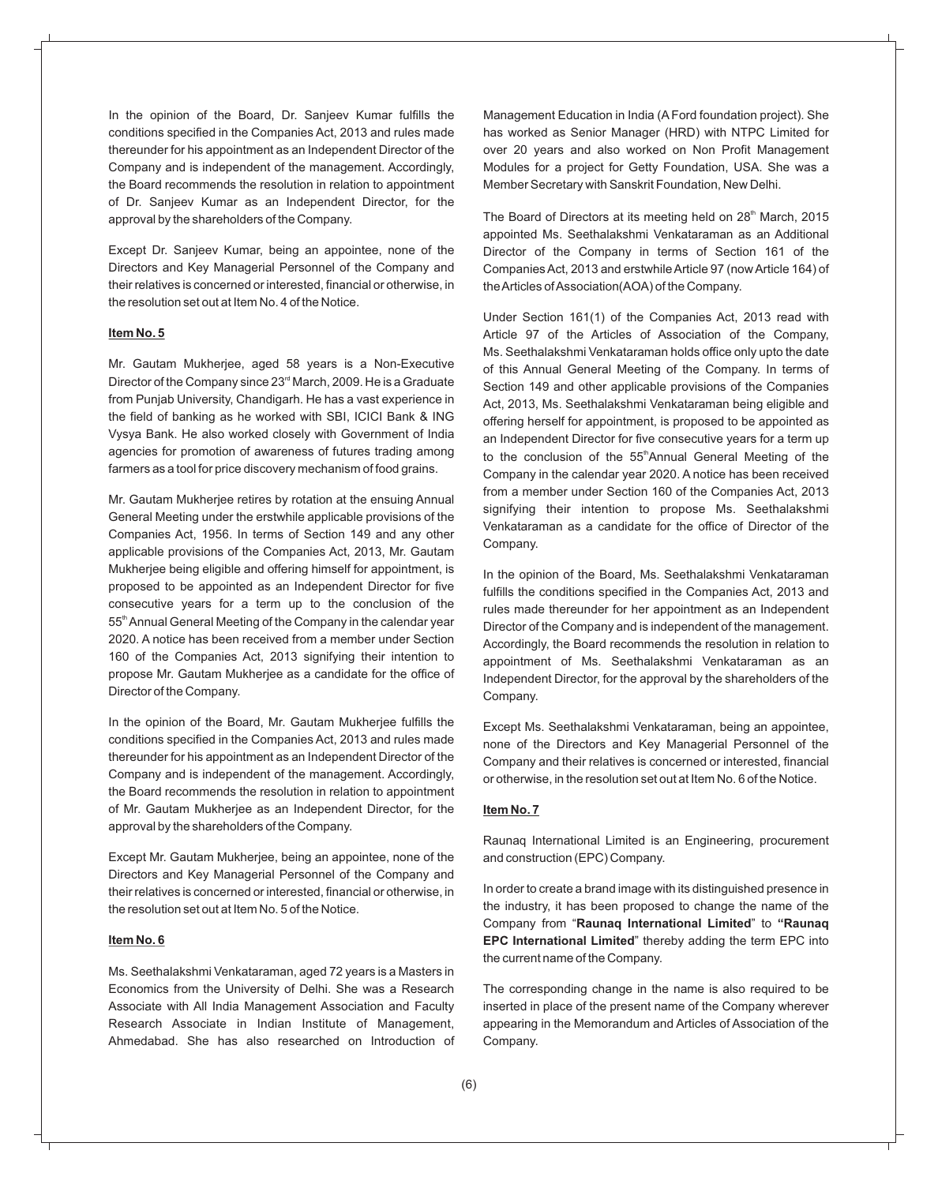In the opinion of the Board, Dr. Sanjeev Kumar fulfills the conditions specified in the Companies Act, 2013 and rules made thereunder for his appointment as an Independent Director of the Company and is independent of the management. Accordingly, the Board recommends the resolution in relation to appointment of Dr. Sanjeev Kumar as an Independent Director, for the approval by the shareholders of the Company.

Except Dr. Sanjeev Kumar, being an appointee, none of the Directors and Key Managerial Personnel of the Company and their relatives is concerned or interested, financial or otherwise, in the resolution set out at Item No. 4 of the Notice.

#### **Item No. 5**

Mr. Gautam Mukherjee, aged 58 years is a Non-Executive Director of the Company since  $23<sup>rd</sup>$  March, 2009. He is a Graduate from Punjab University, Chandigarh. He has a vast experience in the field of banking as he worked with SBI, ICICI Bank & ING Vysya Bank. He also worked closely with Government of India agencies for promotion of awareness of futures trading among farmers as a tool for price discovery mechanism of food grains.

Mr. Gautam Mukherjee retires by rotation at the ensuing Annual General Meeting under the erstwhile applicable provisions of the Companies Act, 1956. In terms of Section 149 and any other applicable provisions of the Companies Act, 2013, Mr. Gautam Mukherjee being eligible and offering himself for appointment, is proposed to be appointed as an Independent Director for five consecutive years for a term up to the conclusion of the 55<sup>th</sup> Annual General Meeting of the Company in the calendar year 2020. A notice has been received from a member under Section 160 of the Companies Act, 2013 signifying their intention to propose Mr. Gautam Mukherjee as a candidate for the office of Director of the Company.

In the opinion of the Board, Mr. Gautam Mukherjee fulfills the conditions specified in the Companies Act, 2013 and rules made thereunder for his appointment as an Independent Director of the Company and is independent of the management. Accordingly, the Board recommends the resolution in relation to appointment of Mr. Gautam Mukherjee as an Independent Director, for the approval by the shareholders of the Company.

Except Mr. Gautam Mukherjee, being an appointee, none of the Directors and Key Managerial Personnel of the Company and their relatives is concerned or interested, financial or otherwise, in the resolution set out at Item No. 5 of the Notice.

#### **Item No. 6**

Ms. Seethalakshmi Venkataraman, aged 72 years is a Masters in Economics from the University of Delhi. She was a Research Associate with All India Management Association and Faculty Research Associate in Indian Institute of Management, Ahmedabad. She has also researched on Introduction of Management Education in India (AFord foundation project). She has worked as Senior Manager (HRD) with NTPC Limited for over 20 years and also worked on Non Profit Management Modules for a project for Getty Foundation, USA. She was a Member Secretary with Sanskrit Foundation, New Delhi.

The Board of Directors at its meeting held on 28<sup>th</sup> March, 2015 appointed Ms. Seethalakshmi Venkataraman as an Additional Director of the Company in terms of Section 161 of the Companies Act, 2013 and erstwhile Article 97 (now Article 164) of the Articles of Association(AOA) of the Company.

Under Section 161(1) of the Companies Act, 2013 read with Article 97 of the Articles of Association of the Company, Ms. Seethalakshmi Venkataraman holds office only upto the date of this Annual General Meeting of the Company. In terms of Section 149 and other applicable provisions of the Companies Act, 2013, Ms. Seethalakshmi Venkataraman being eligible and offering herself for appointment, is proposed to be appointed as an Independent Director for five consecutive years for a term up to the conclusion of the  $55<sup>th</sup>$ Annual General Meeting of the Company in the calendar year 2020. A notice has been received from a member under Section 160 of the Companies Act, 2013 signifying their intention to propose Ms. Seethalakshmi Venkataraman as a candidate for the office of Director of the Company.

In the opinion of the Board, Ms. Seethalakshmi Venkataraman fulfills the conditions specified in the Companies Act, 2013 and rules made thereunder for her appointment as an Independent Director of the Company and is independent of the management. Accordingly, the Board recommends the resolution in relation to appointment of Ms. Seethalakshmi Venkataraman as an Independent Director, for the approval by the shareholders of the Company.

Except Ms. Seethalakshmi Venkataraman, being an appointee, none of the Directors and Key Managerial Personnel of the Company and their relatives is concerned or interested, financial or otherwise, in the resolution set out at Item No. 6 of the Notice.

#### **Item No. 7**

Raunaq International Limited is an Engineering, procurement and construction (EPC) Company.

In order to create a brand image with its distinguished presence in the industry, it has been proposed to change the name of the Company from "**Raunaq International Limited**" to **"Raunaq EPC International Limited**" thereby adding the term EPC into the current name of the Company.

The corresponding change in the name is also required to be inserted in place of the present name of the Company wherever appearing in the Memorandum and Articles of Association of the Company.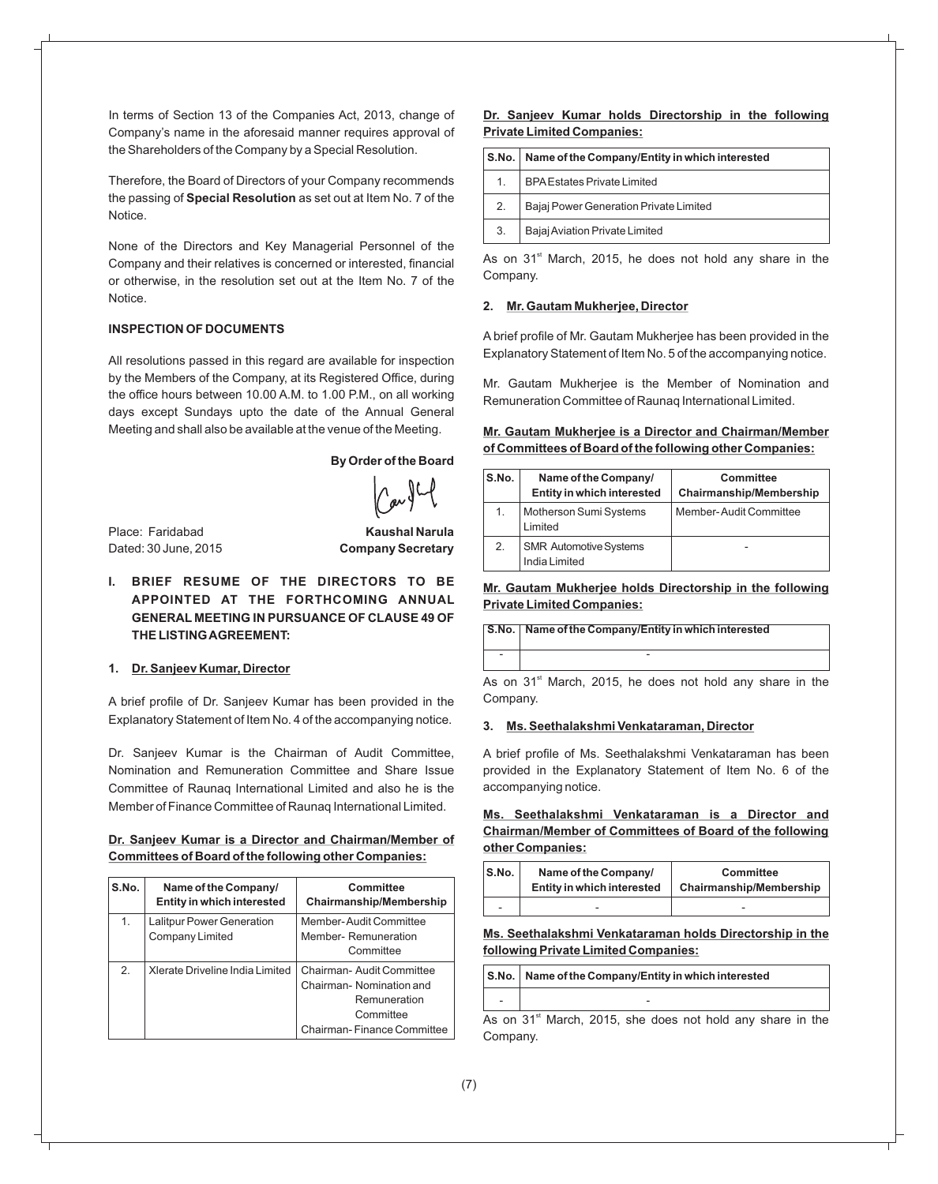In terms of Section 13 of the Companies Act, 2013, change of Company's name in the aforesaid manner requires approval of the Shareholders of the Company by a Special Resolution.

Therefore, the Board of Directors of your Company recommends the passing of **Special Resolution** as set out at Item No. 7 of the Notice.

None of the Directors and Key Managerial Personnel of the Company and their relatives is concerned or interested, financial or otherwise, in the resolution set out at the Item No. 7 of the Notice.

#### **INSPECTION OF DOCUMENTS**

All resolutions passed in this regard are available for inspection by the Members of the Company, at its Registered Office, during the office hours between 10.00 A.M. to 1.00 P.M., on all working days except Sundays upto the date of the Annual General Meeting and shall also be available at the venue of the Meeting.

#### **By Order of the Board**

Place: Faridabad **Kaushal Narula**

Dated: 30 June, 2015 **Company Secretary**

**I. BRIEF RESUME OF THE DIRECTORS TO BE APPOINTED AT THE FORTHCOMING ANNUAL GENERAL MEETING IN PURSUANCE OF CLAUSE 49 OF THE LISTING AGREEMENT:**

#### **1. Dr. Sanjeev Kumar, Director**

A brief profile of Dr. Sanjeev Kumar has been provided in the Explanatory Statement of Item No. 4 of the accompanying notice.

Dr. Sanjeev Kumar is the Chairman of Audit Committee, Nomination and Remuneration Committee and Share Issue Committee of Raunaq International Limited and also he is the Member of Finance Committee of Raunaq International Limited.

#### **Dr. Sanjeev Kumar is a Director and Chairman/Member of Committees of Board of the following other Companies:**

| S.No. | Name of the Company/<br><b>Entity in which interested</b> | Committee<br><b>Chairmanship/Membership</b>                                                                     |
|-------|-----------------------------------------------------------|-----------------------------------------------------------------------------------------------------------------|
| 1.    | Lalitpur Power Generation<br>Company Limited              | Member-Audit Committee<br>Member-Remuneration<br>Committee                                                      |
| 2.    | Xlerate Driveline India Limited                           | Chairman- Audit Committee<br>Chairman-Nomination and<br>Remuneration<br>Committee<br>Chairman-Finance Committee |

#### **Dr. Sanjeev Kumar holds Directorship in the following Private Limited Companies:**

|    | S.No.   Name of the Company/Entity in which interested |
|----|--------------------------------------------------------|
|    | BPA Estates Private Limited                            |
| 2. | Bajaj Power Generation Private Limited                 |
| 3. | Bajaj Aviation Private Limited                         |

As on  $31<sup>st</sup>$  March, 2015, he does not hold any share in the Company.

#### **2. Mr. Gautam Mukherjee, Director**

A brief profile of Mr. Gautam Mukherjee has been provided in the Explanatory Statement of Item No. 5 of the accompanying notice.

Mr. Gautam Mukherjee is the Member of Nomination and Remuneration Committee of Raunaq International Limited.

**Mr. Gautam Mukherjee is a Director and Chairman/Member of Committees of Board of the following other Companies:**

| S.No. | Name of the Company/<br><b>Entity in which interested</b> | Committee<br><b>Chairmanship/Membership</b> |
|-------|-----------------------------------------------------------|---------------------------------------------|
| 1.    | Motherson Sumi Systems<br>Limited                         | Member-Audit Committee                      |
| 2.    | <b>SMR Automotive Systems</b><br>India Limited            |                                             |

#### **Mr. Gautam Mukherjee holds Directorship in the following Private Limited Companies:**

| S.No.   Name of the Company/Entity in which interested |
|--------------------------------------------------------|
|                                                        |

As on  $31<sup>st</sup>$  March, 2015, he does not hold any share in the Company.

#### **3. Ms. Seethalakshmi Venkataraman, Director**

A brief profile of Ms. Seethalakshmi Venkataraman has been provided in the Explanatory Statement of Item No. 6 of the accompanying notice.

#### **Ms. Seethalakshmi Venkataraman is a Director and Chairman/Member of Committees of Board of the following other Companies:**

| S.No. | Name of the Company/<br><b>Entity in which interested</b> | <b>Committee</b><br><b>Chairmanship/Membership</b> |
|-------|-----------------------------------------------------------|----------------------------------------------------|
|       |                                                           |                                                    |

**Ms. Seethalakshmi Venkataraman holds Directorship in the following Private Limited Companies:**

| S.No. Name of the Company/Entity in which interested |  |  |  |
|------------------------------------------------------|--|--|--|
| -                                                    |  |  |  |

As on  $31<sup>st</sup>$  March, 2015, she does not hold any share in the Company.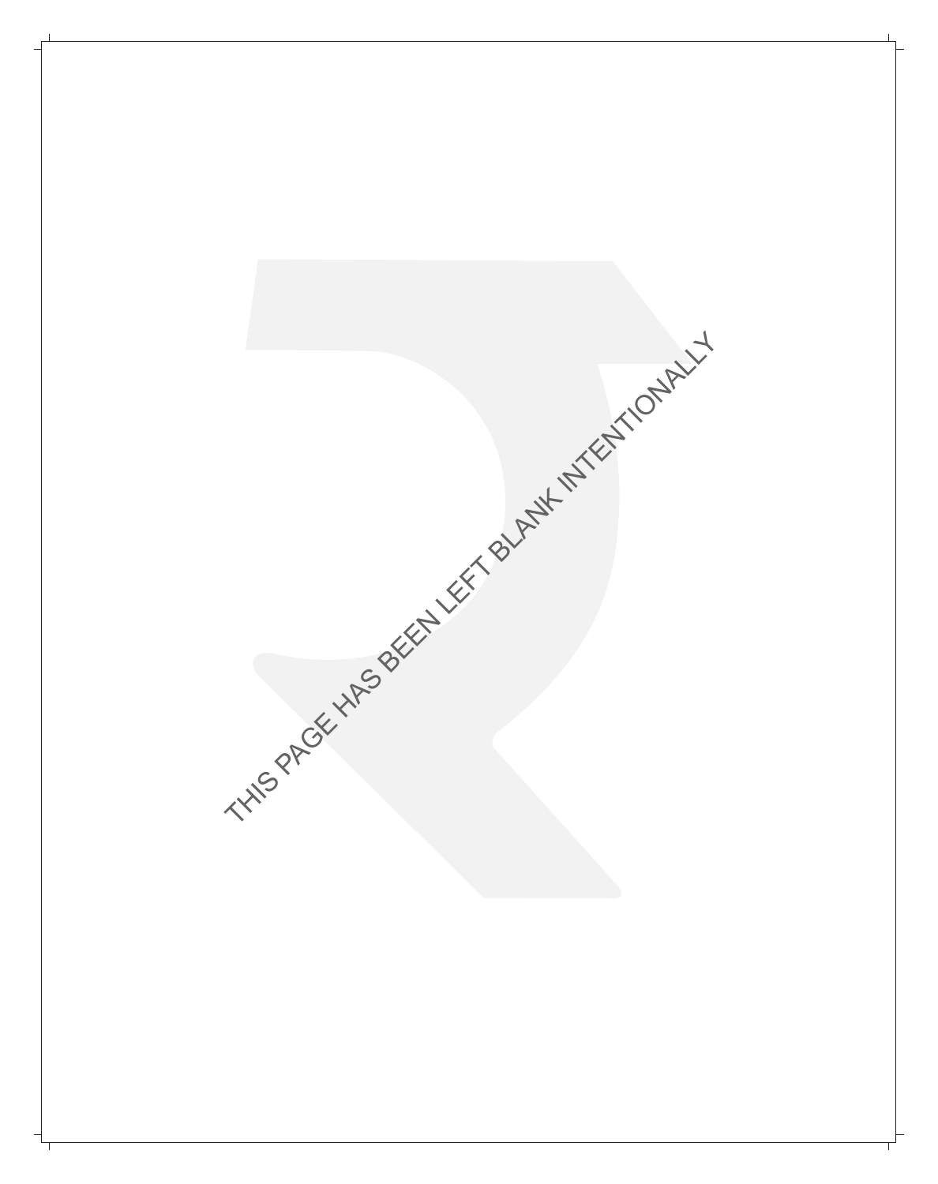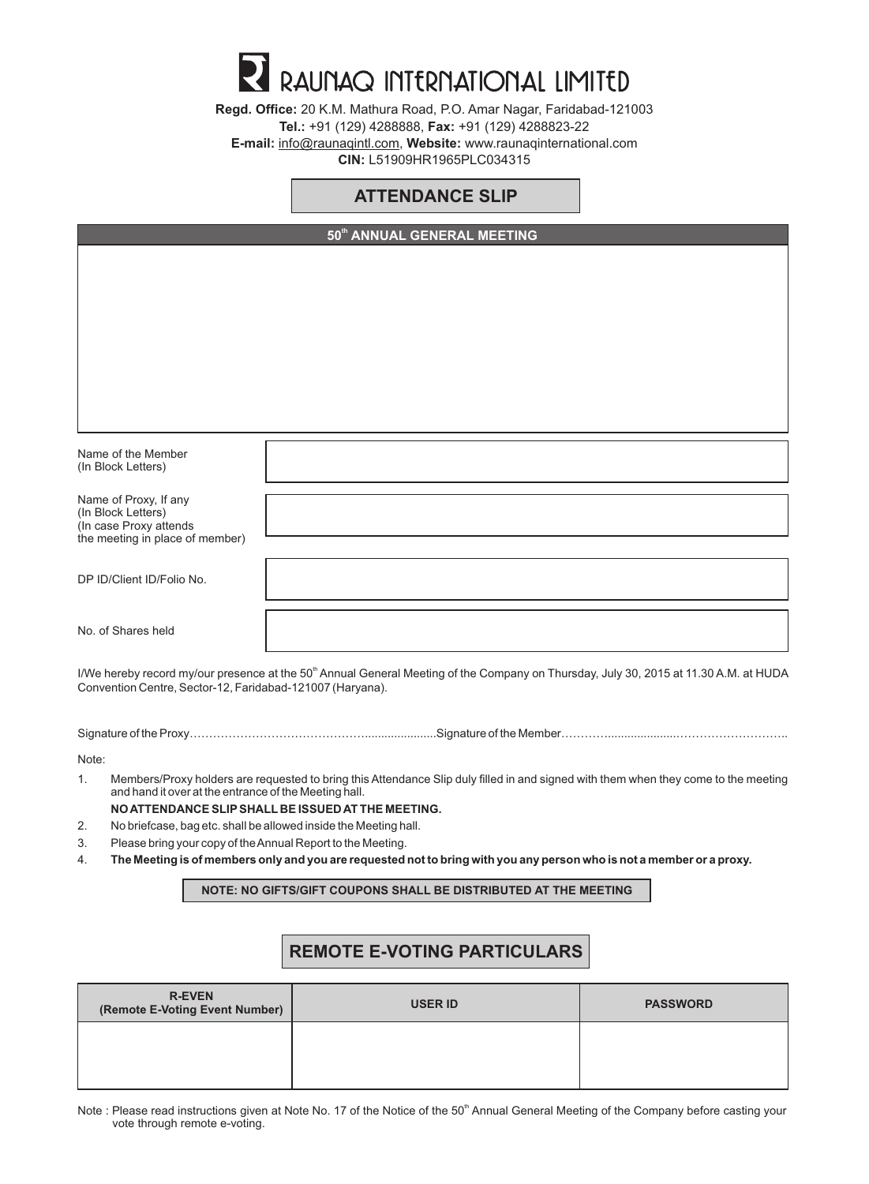# RAUNAQ INTERNATIONAL LIMITED

**Regd. Office:** 20 K.M. Mathura Road, P.O. Amar Nagar, Faridabad-121003 **Tel.:** +91 (129) 4288888, **Fax:** +91 (129) 4288823-22 **E-mail:** info@raunaqintl.com, **Website:** www.raunaqinternational.com **CIN:** L51909HR1965PLC034315

## **ATTENDANCE SLIP**

|                                             | 50th ANNUAL GENERAL MEETING                                                                                                                       |
|---------------------------------------------|---------------------------------------------------------------------------------------------------------------------------------------------------|
|                                             |                                                                                                                                                   |
|                                             |                                                                                                                                                   |
|                                             |                                                                                                                                                   |
|                                             |                                                                                                                                                   |
|                                             |                                                                                                                                                   |
|                                             |                                                                                                                                                   |
|                                             |                                                                                                                                                   |
|                                             |                                                                                                                                                   |
|                                             |                                                                                                                                                   |
|                                             |                                                                                                                                                   |
| Name of the Member<br>(In Block Letters)    |                                                                                                                                                   |
|                                             |                                                                                                                                                   |
| Name of Proxy, If any<br>(In Block Letters) |                                                                                                                                                   |
| (In case Proxy attends                      |                                                                                                                                                   |
| the meeting in place of member)             |                                                                                                                                                   |
|                                             |                                                                                                                                                   |
| DP ID/Client ID/Folio No.                   |                                                                                                                                                   |
|                                             |                                                                                                                                                   |
| No. of Shares held                          |                                                                                                                                                   |
|                                             |                                                                                                                                                   |
|                                             | I/We hereby record my/our presence at the 50 <sup>th</sup> Annual General Meeting of the Company on Thursday, July 30, 2015 at 11.30 A.M. at HUDA |

Convention Centre, Sector-12, Faridabad-121007 (Haryana).

Signature of the Proxy…………………………………………………………………Signature of the Member………………………………………………

Note:

1. Members/Proxy holders are requested to bring this Attendance Slip duly filled in and signed with them when they come to the meeting and hand it over at the entrance of the Meeting hall.

#### **NO ATTENDANCE SLIPSHALL BE ISSUED AT THE MEETING.**

- 2. No briefcase, bag etc. shall be allowed inside the Meeting hall.
- 3. Please bring your copy of the Annual Report to the Meeting.
- 4. **The Meeting is of members only and you are requested not to bring with you any person who is not a member or a proxy.**

**NOTE: NO GIFTS/GIFT COUPONS SHALL BE DISTRIBUTED AT THE MEETING**

## **REMOTE E-VOTING PARTICULARS**

| <b>R-EVEN</b><br>(Remote E-Voting Event Number) | <b>USER ID</b> | <b>PASSWORD</b> |
|-------------------------------------------------|----------------|-----------------|
|                                                 |                |                 |
|                                                 |                |                 |

Note : Please read instructions given at Note No. 17 of the Notice of the 50<sup>th</sup> Annual General Meeting of the Company before casting your vote through remote e-voting.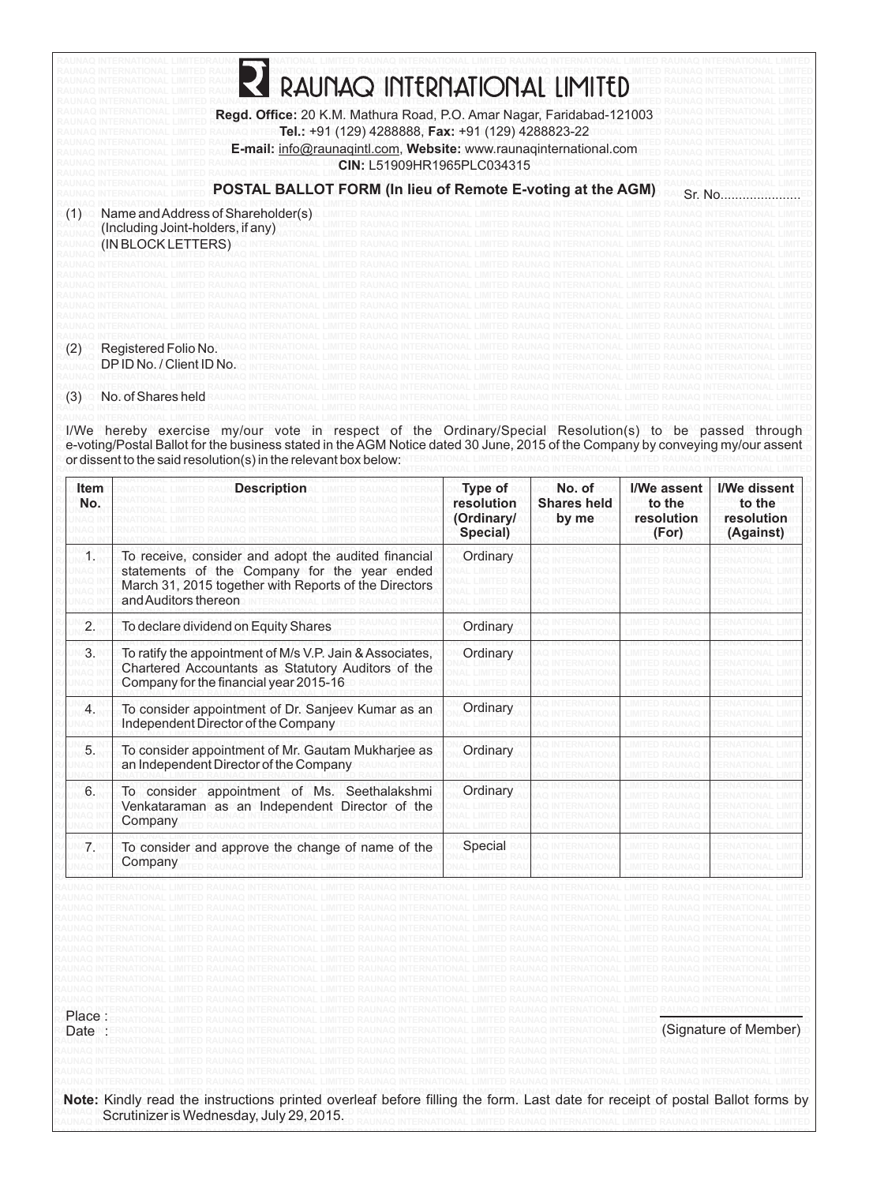## RAUNA INTERNATIONAL LIMITED RAUNA RAUNAQ INTERNATIONAL LIMITED RAUNA INTERNATIONAL LIMITED RAUNA INTERNATIONAL

**RAUNAQ INTERNATIONAL LIMITED RAUNAQ INTERNATIONAL LIMITED RAUNAQ INTERNATIONAL LIMITED RAUNAQ INTERNATIONAL LIMITED**

RAUNAO INTERNATIONAL LIMITED **Regd. Office: 20 K.M. Mathura Road, P.O. Amar Nagar, Faridabad-121003** RAUNAO INTERNATIONAL LIMITED RAUNAQ INTERNATIONAL LIMITED RAUNAQ INTER**TEU. +91 (129) 4288888, Fax: +91 (129) 4288823-22** "ONAL LIMITED RAUNAQ INTERNATIONAL LIMITED<br>RAUNAQ INTERNATIONAL LIMITED RAUNAQ INTER **Tel.: +91 (129) 4288888, Fax: +91 (129) 428** RAUNAQ INTERNATIONAL LIMITED RAUN**É-mail: <u>info@raunaqintl.com,</u> Website: www.raunaqinternational.com** ediraunaq international limited<br>Raunaq international limited raul**é-mail: <u>info@raunaqintl.com,</u> Website: www.raunaqint** RAUNAO INTERNATIONAL LIMITED RAUNAO INTERNATIO**NAL LIM<b>CIN : L51909HR1965PLC034315** vao international limited Raunao International limited</u><br>Raunao international limited Raunao international l**imited de la chemical de** la c RAUNAQ INTERNATIONAL LIMITED RAUNAQ INTERNATIONAL LIMITED RAUMAD INTERNATIONAL LIMITED RAUNAQ INTERNATIONAL LIMITED RAUNAQ INTERNATIONAL LIMITED

### RAUNAQ INTERNATIONAL LINE POSTAL BALLOT FORM (In lieu of Remote E-voting at the AGM) ST. No.

Sr. No.......................

RAUNAQ INTERNATIONAL LIMITED RAUNAQ INTERNATIONAL LIMITED RAUNAQ INTERNATIONAL LIMITED RAUNAQ INTERNATIONAL LIMITED RAUNAQ INTERNATIONAL LIMITED R <mark>(1)</mark>AQ I**Name and Address of Shareholder(s)**IL LIMITED RAUNAQ INTERNATIONAL LIMITED RAUNAQ INTERNATIONAL LIMITED RAUNAQ INTERNATIONAL LIMITED RAUNAQ (**(Including Joint-holders, if any)** vational limited raunaq international limited raunaq international limited raunaq international limited<br>Raunaq (In**cluding Joint-holders, if any)** vational limited raunaq interna RAUNAQ I**(IN BLOCK LETTERS)**IAQ INTERNATIONAL LIMITED RAUNAQ INTERNATIONAL LIMITED RAUNAQ INTERNATIONAL LIMITED RAUNAQ INTERNATIONAL LIMITED RAUNAQ INTERNATIONAL LIMITED RAUNAQ INTERNATIONAL LIMITED RAUNAQ INTERNATIONAL LIMITED RAUNAQ INTERNATIONAL LIMITED RAUNAQ INTERNATIONAL LIMITED

Research of the process of the process of the process of the contract of the contract of the contract of the contract united raunagement contractonal limited  $\Omega$ RAJYAQ INTERNATA LATTATANINAQ INTERNATIONAL LIMITED RAUNAQ INTERNATIONAL LIMITED RAUNAQ INTERNATIONAL LIMITED RAUNAQ INTERNATIONAL LIMITED<br>RAUNAQ I**DP ID NO./CIIent ID NO.**\Q INTERNATIONAL LIMITED RAUNAQ INTERNATIONAL LIMI

**RAUNAQ INTERNATIONAL LIMITED RAUNAQ INTERNATIONAL LIMITED RAUNAQ INTERNATIONAL LIMITED RAUNAQ INTERNATIONAL LIMITED RAUNAQ INTERNATIONAL LIMITED** Ra**(3)** ng i**No. of Shares held** Raunaq international limited raunaq international limited raunaq international limited raunaq international limited

I/We hereby exercise my/our vote in respect of the Ordinary/Special Resolution(s) to be passed through e-voting/Postal Ballot for the business stated in the AGM Notice dated 30 June, 2015 of the Company by conveying my/our assent **R** or dissent to the said resolution(s) in the relevant box below: NTERNATIONAL LIMITED RAUNAQ INTERNATIONAL LIMITED RAUNAQ INTERNATIONAL LIMITED RAUNAQ INTERNATIONAL LIMITED RAUNAQ INTERNATIONAL LIMITED RAUNAQ INTERNATIONAL LIMITED RAUNAQ INTERNATIONAL LIMITED RAUNAQ INTERNATIONAL LIMITED

**RAUNAQ INTERNATIONAL LIMITED RAUNAQ INTERNATIONAL LIMITED RAUNAQ INTERNATIONAL LIMITED RAUNAQ INTERNATIONAL LIMITED RAUNAQ INTERNATIONAL LIMITED**

| Item<br>No.      | <b>Description</b>                                                                                                                                                                                    | Type of<br>resolution<br>(Ordinary/<br>Special) | No. of<br><b>Shares held</b><br>by me | I/We assent<br>to the<br>resolution<br>(For) | I/We dissent<br>to the<br>resolution<br>(Against) |
|------------------|-------------------------------------------------------------------------------------------------------------------------------------------------------------------------------------------------------|-------------------------------------------------|---------------------------------------|----------------------------------------------|---------------------------------------------------|
|                  | To receive, consider and adopt the audited financial<br>statements of the Company for the year ended<br>March 31, 2015 together with Reports of the Directors<br><b>and Auditors thereon INTERNAL</b> | Ordinary                                        |                                       |                                              |                                                   |
| 2.               | To declare dividend on Equity Shares                                                                                                                                                                  | Ordinary                                        |                                       |                                              |                                                   |
| 3.               | To ratify the appointment of M/s V.P. Jain & Associates,<br>Chartered Accountants as Statutory Auditors of the<br>Company for the financial year 2015-16                                              | Ordinary                                        |                                       |                                              |                                                   |
| $\overline{4}$ . | To consider appointment of Dr. Sanjeev Kumar as an<br>Independent Director of the Company                                                                                                             | Ordinary                                        |                                       |                                              |                                                   |
| 5.               | To consider appointment of Mr. Gautam Mukharjee as<br>an Independent Director of the Company                                                                                                          |                                                 |                                       |                                              |                                                   |
| 6.               | To consider appointment of Ms. Seethalakshmi<br>Venkataraman as an Independent Director of the<br>Company                                                                                             | Ordinary                                        |                                       |                                              |                                                   |
| 7.               | To consider and approve the change of name of the<br>Company                                                                                                                                          | Special                                         |                                       |                                              |                                                   |
|                  |                                                                                                                                                                                                       |                                                 |                                       |                                              |                                                   |
|                  |                                                                                                                                                                                                       |                                                 |                                       |                                              |                                                   |

**RAUNAQ INTERNATIONAL LIMITED RAUNAQ INTERNATIONAL LIMITED RAUNAQ INTERNATIONAL LIMITED RAUNAQ INTERNATIONAL LIMITED RAUNAQ INTERNATIONAL LIMITED**